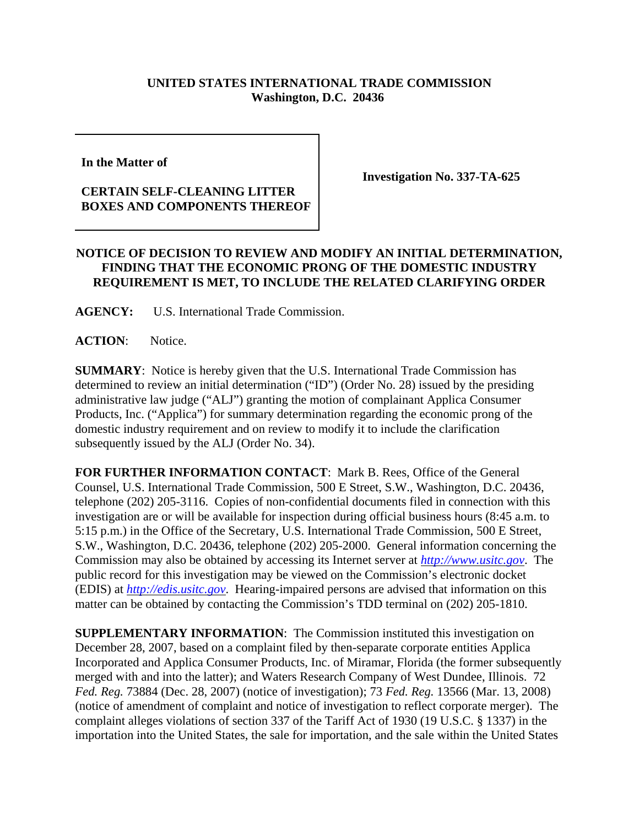## **UNITED STATES INTERNATIONAL TRADE COMMISSION Washington, D.C. 20436**

**In the Matter of** 

## **CERTAIN SELF-CLEANING LITTER BOXES AND COMPONENTS THEREOF**

**Investigation No. 337-TA-625**

## **NOTICE OF DECISION TO REVIEW AND MODIFY AN INITIAL DETERMINATION, FINDING THAT THE ECONOMIC PRONG OF THE DOMESTIC INDUSTRY REQUIREMENT IS MET, TO INCLUDE THE RELATED CLARIFYING ORDER**

**AGENCY:** U.S. International Trade Commission.

**ACTION**: Notice.

**SUMMARY**: Notice is hereby given that the U.S. International Trade Commission has determined to review an initial determination ("ID") (Order No. 28) issued by the presiding administrative law judge ("ALJ") granting the motion of complainant Applica Consumer Products, Inc. ("Applica") for summary determination regarding the economic prong of the domestic industry requirement and on review to modify it to include the clarification subsequently issued by the ALJ (Order No. 34).

**FOR FURTHER INFORMATION CONTACT**: Mark B. Rees, Office of the General Counsel, U.S. International Trade Commission, 500 E Street, S.W., Washington, D.C. 20436, telephone (202) 205-3116. Copies of non-confidential documents filed in connection with this investigation are or will be available for inspection during official business hours (8:45 a.m. to 5:15 p.m.) in the Office of the Secretary, U.S. International Trade Commission, 500 E Street, S.W., Washington, D.C. 20436, telephone (202) 205-2000. General information concerning the Commission may also be obtained by accessing its Internet server at *http://www.usitc.gov*. The public record for this investigation may be viewed on the Commission's electronic docket (EDIS) at *http://edis.usitc.gov*. Hearing-impaired persons are advised that information on this matter can be obtained by contacting the Commission's TDD terminal on (202) 205-1810.

**SUPPLEMENTARY INFORMATION:** The Commission instituted this investigation on December 28, 2007, based on a complaint filed by then-separate corporate entities Applica Incorporated and Applica Consumer Products, Inc. of Miramar, Florida (the former subsequently merged with and into the latter); and Waters Research Company of West Dundee, Illinois. 72 *Fed. Reg.* 73884 (Dec. 28, 2007) (notice of investigation); 73 *Fed. Reg.* 13566 (Mar. 13, 2008) (notice of amendment of complaint and notice of investigation to reflect corporate merger). The complaint alleges violations of section 337 of the Tariff Act of 1930 (19 U.S.C. § 1337) in the importation into the United States, the sale for importation, and the sale within the United States